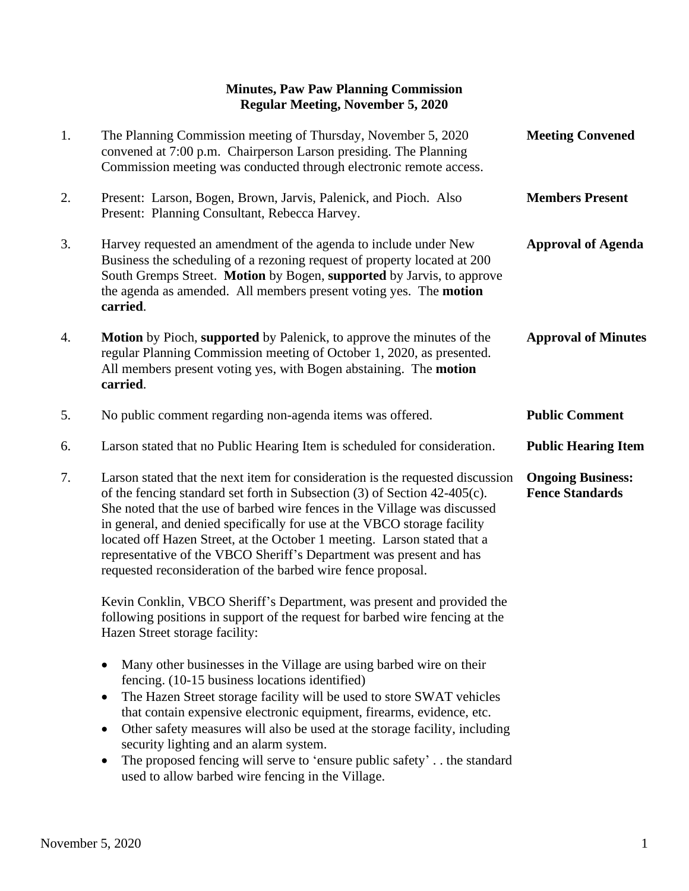## **Minutes, Paw Paw Planning Commission Regular Meeting, November 5, 2020**

| 1. | The Planning Commission meeting of Thursday, November 5, 2020<br>convened at 7:00 p.m. Chairperson Larson presiding. The Planning<br>Commission meeting was conducted through electronic remote access.                                                                                                                                                                                                                                                                                                                                                                    | <b>Meeting Convened</b>                            |
|----|----------------------------------------------------------------------------------------------------------------------------------------------------------------------------------------------------------------------------------------------------------------------------------------------------------------------------------------------------------------------------------------------------------------------------------------------------------------------------------------------------------------------------------------------------------------------------|----------------------------------------------------|
| 2. | Present: Larson, Bogen, Brown, Jarvis, Palenick, and Pioch. Also<br>Present: Planning Consultant, Rebecca Harvey.                                                                                                                                                                                                                                                                                                                                                                                                                                                          | <b>Members Present</b>                             |
| 3. | Harvey requested an amendment of the agenda to include under New<br>Business the scheduling of a rezoning request of property located at 200<br>South Gremps Street. Motion by Bogen, supported by Jarvis, to approve<br>the agenda as amended. All members present voting yes. The motion<br>carried.                                                                                                                                                                                                                                                                     | <b>Approval of Agenda</b>                          |
| 4. | <b>Motion</b> by Pioch, supported by Palenick, to approve the minutes of the<br>regular Planning Commission meeting of October 1, 2020, as presented.<br>All members present voting yes, with Bogen abstaining. The motion<br>carried.                                                                                                                                                                                                                                                                                                                                     | <b>Approval of Minutes</b>                         |
| 5. | No public comment regarding non-agenda items was offered.                                                                                                                                                                                                                                                                                                                                                                                                                                                                                                                  | <b>Public Comment</b>                              |
| 6. | Larson stated that no Public Hearing Item is scheduled for consideration.                                                                                                                                                                                                                                                                                                                                                                                                                                                                                                  | <b>Public Hearing Item</b>                         |
| 7. | Larson stated that the next item for consideration is the requested discussion<br>of the fencing standard set forth in Subsection (3) of Section 42-405(c).<br>She noted that the use of barbed wire fences in the Village was discussed<br>in general, and denied specifically for use at the VBCO storage facility<br>located off Hazen Street, at the October 1 meeting. Larson stated that a<br>representative of the VBCO Sheriff's Department was present and has<br>requested reconsideration of the barbed wire fence proposal.                                    | <b>Ongoing Business:</b><br><b>Fence Standards</b> |
|    | Kevin Conklin, VBCO Sheriff's Department, was present and provided the<br>following positions in support of the request for barbed wire fencing at the<br>Hazen Street storage facility:                                                                                                                                                                                                                                                                                                                                                                                   |                                                    |
|    | Many other businesses in the Village are using barbed wire on their<br>$\bullet$<br>fencing. (10-15 business locations identified)<br>The Hazen Street storage facility will be used to store SWAT vehicles<br>$\bullet$<br>that contain expensive electronic equipment, firearms, evidence, etc.<br>Other safety measures will also be used at the storage facility, including<br>$\bullet$<br>security lighting and an alarm system.<br>The proposed fencing will serve to 'ensure public safety' the standard<br>٠<br>used to allow barbed wire fencing in the Village. |                                                    |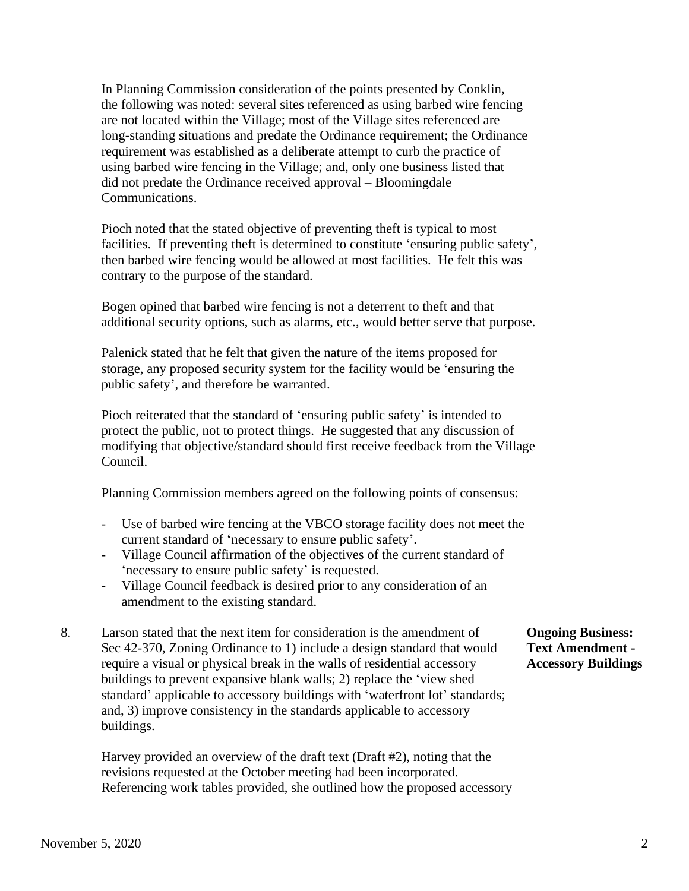In Planning Commission consideration of the points presented by Conklin, the following was noted: several sites referenced as using barbed wire fencing are not located within the Village; most of the Village sites referenced are long-standing situations and predate the Ordinance requirement; the Ordinance requirement was established as a deliberate attempt to curb the practice of using barbed wire fencing in the Village; and, only one business listed that did not predate the Ordinance received approval – Bloomingdale Communications.

 Pioch noted that the stated objective of preventing theft is typical to most facilities. If preventing theft is determined to constitute 'ensuring public safety', then barbed wire fencing would be allowed at most facilities. He felt this was contrary to the purpose of the standard.

 Bogen opined that barbed wire fencing is not a deterrent to theft and that additional security options, such as alarms, etc., would better serve that purpose.

 Palenick stated that he felt that given the nature of the items proposed for storage, any proposed security system for the facility would be 'ensuring the public safety', and therefore be warranted.

 Pioch reiterated that the standard of 'ensuring public safety' is intended to protect the public, not to protect things. He suggested that any discussion of modifying that objective/standard should first receive feedback from the Village Council.

Planning Commission members agreed on the following points of consensus:

- Use of barbed wire fencing at the VBCO storage facility does not meet the current standard of 'necessary to ensure public safety'.
- Village Council affirmation of the objectives of the current standard of 'necessary to ensure public safety' is requested.
- Village Council feedback is desired prior to any consideration of an amendment to the existing standard.
- 8. Larson stated that the next item for consideration is the amendment of **Ongoing Business:** Sec 42-370, Zoning Ordinance to 1) include a design standard that would **Text Amendment**  require a visual or physical break in the walls of residential accessory **Accessory Buildings** buildings to prevent expansive blank walls; 2) replace the 'view shed standard' applicable to accessory buildings with 'waterfront lot' standards; and, 3) improve consistency in the standards applicable to accessory buildings.

 Harvey provided an overview of the draft text (Draft #2), noting that the revisions requested at the October meeting had been incorporated. Referencing work tables provided, she outlined how the proposed accessory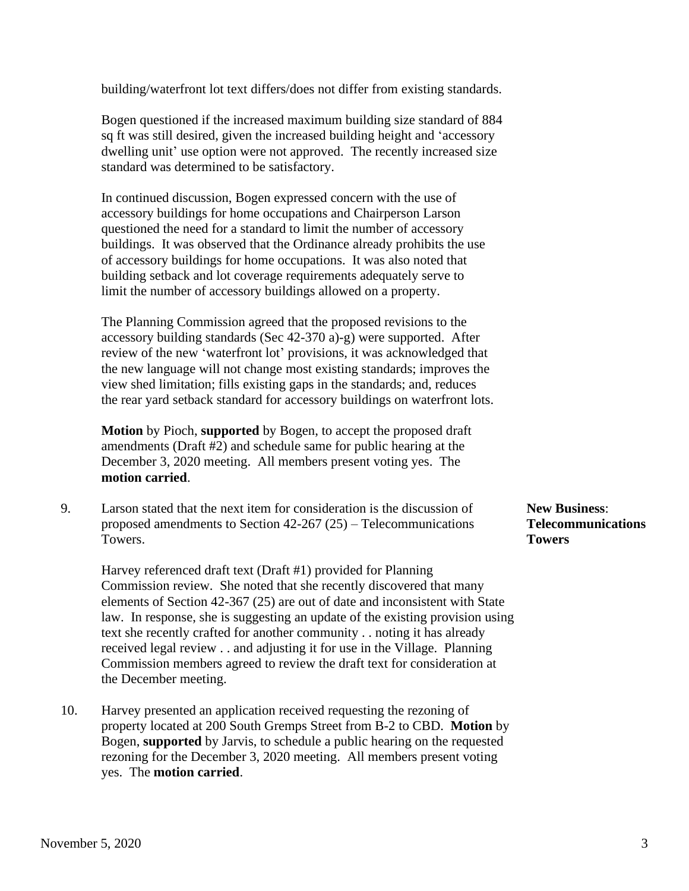building/waterfront lot text differs/does not differ from existing standards.

 Bogen questioned if the increased maximum building size standard of 884 sq ft was still desired, given the increased building height and 'accessory dwelling unit' use option were not approved. The recently increased size standard was determined to be satisfactory.

 In continued discussion, Bogen expressed concern with the use of accessory buildings for home occupations and Chairperson Larson questioned the need for a standard to limit the number of accessory buildings. It was observed that the Ordinance already prohibits the use of accessory buildings for home occupations. It was also noted that building setback and lot coverage requirements adequately serve to limit the number of accessory buildings allowed on a property.

 The Planning Commission agreed that the proposed revisions to the accessory building standards (Sec 42-370 a)-g) were supported. After review of the new 'waterfront lot' provisions, it was acknowledged that the new language will not change most existing standards; improves the view shed limitation; fills existing gaps in the standards; and, reduces the rear yard setback standard for accessory buildings on waterfront lots.

 **Motion** by Pioch, **supported** by Bogen, to accept the proposed draft amendments (Draft #2) and schedule same for public hearing at the December 3, 2020 meeting. All members present voting yes. The **motion carried**.

9. Larson stated that the next item for consideration is the discussion of **New Business**: proposed amendments to Section 42-267 (25) – Telecommunications **Telecommunications** Towers. **Towers**

 Harvey referenced draft text (Draft #1) provided for Planning Commission review. She noted that she recently discovered that many elements of Section 42-367 (25) are out of date and inconsistent with State law. In response, she is suggesting an update of the existing provision using text she recently crafted for another community . . noting it has already received legal review . . and adjusting it for use in the Village. Planning Commission members agreed to review the draft text for consideration at the December meeting.

10. Harvey presented an application received requesting the rezoning of property located at 200 South Gremps Street from B-2 to CBD. **Motion** by Bogen, **supported** by Jarvis, to schedule a public hearing on the requested rezoning for the December 3, 2020 meeting. All members present voting yes. The **motion carried**.